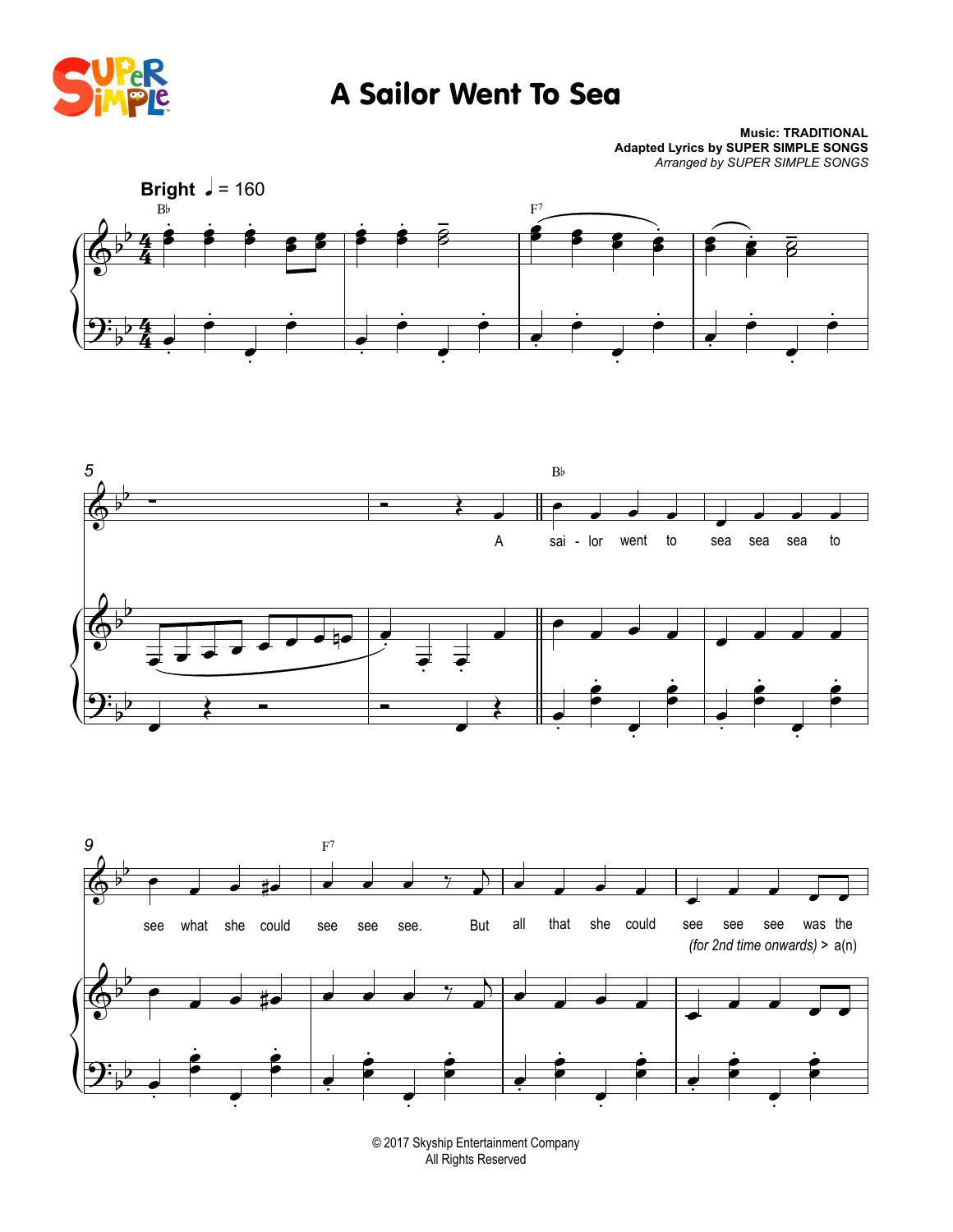

## A Sailor Went To Sea

**Music: TRADITIONAL Adapted Lyrics by SUPER SIMPLE SONGS** *Arranged by SUPER SIMPLE SONGS*







© 2017 Skyship Entertainment Company All Rights Reserved